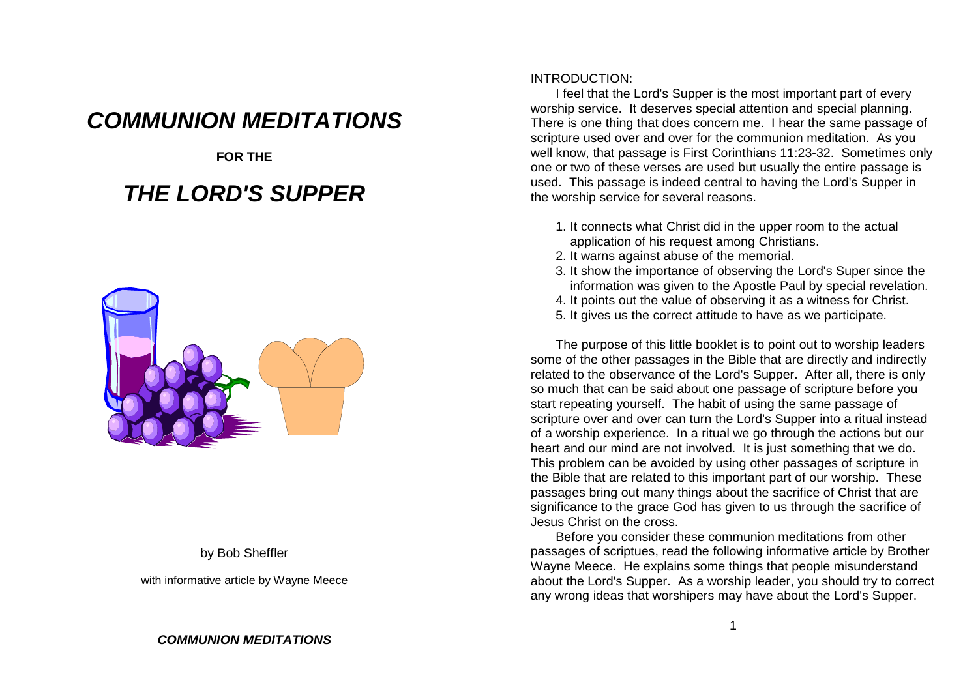# **COMMUNION MEDITATIONS**

**FOR THE**

# **THE LORD'S SUPPER**



#### by Bob Sheffler

with informative article by Wayne Meece

#### INTRODUCTION:

 I feel that the Lord's Supper is the most important part of every worship service. It deserves special attention and special planning. There is one thing that does concern me. I hear the same passage ofscripture used over and over for the communion meditation. As you well know, that passage is First Corinthians 11:23-32. Sometimes onlyone or two of these verses are used but usually the entire passage is used. This passage is indeed central to having the Lord's Supper inthe worship service for several reasons.

- 1. It connects what Christ did in the upper room to the actualapplication of his request among Christians.
- 2. It warns against abuse of the memorial.
- 3. It show the importance of observing the Lord's Super since theinformation was given to the Apostle Paul by special revelation.
- 4. It points out the value of observing it as a witness for Christ.
- 5. It gives us the correct attitude to have as we participate.

The purpose of this little booklet is to point out to worship leaders some of the other passages in the Bible that are directly and indirectly related to the observance of the Lord's Supper. After all, there is only so much that can be said about one passage of scripture before youstart repeating yourself. The habit of using the same passage of scripture over and over can turn the Lord's Supper into a ritual instead of a worship experience. In a ritual we go through the actions but ourheart and our mind are not involved. It is just something that we do. This problem can be avoided by using other passages of scripture in the Bible that are related to this important part of our worship. These passages bring out many things about the sacrifice of Christ that are significance to the grace God has given to us through the sacrifice ofJesus Christ on the cross.

 Before you consider these communion meditations from other passages of scriptues, read the following informative article by BrotherWayne Meece. He explains some things that people misunderstand about the Lord's Supper. As a worship leader, you should try to correctany wrong ideas that worshipers may have about the Lord's Supper.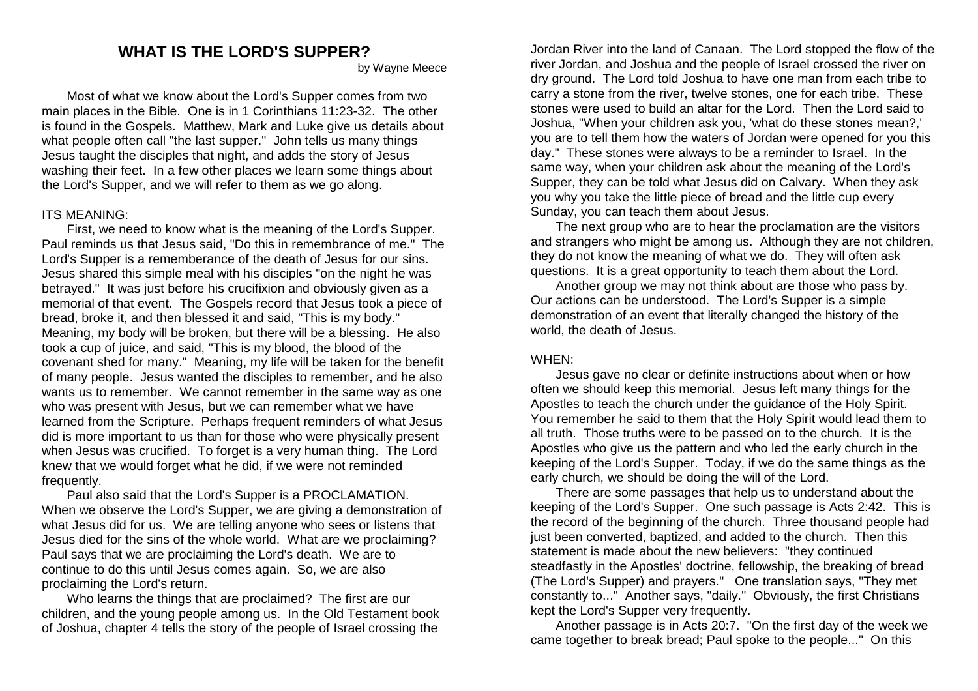## **WHAT IS THE LORD'S SUPPER?**

by Wayne Meece

Most of what we know about the Lord's Supper comes from two main places in the Bible. One is in 1 Corinthians 11:23-32. The other is found in the Gospels. Matthew, Mark and Luke give us details aboutwhat people often call "the last supper." John tells us many things Jesus taught the disciples that night, and adds the story of Jesus washing their feet. In a few other places we learn some things aboutthe Lord's Supper, and we will refer to them as we go along.

#### ITS MEANING:

 First, we need to know what is the meaning of the Lord's Supper. Paul reminds us that Jesus said, "Do this in remembrance of me." TheLord's Supper is a rememberance of the death of Jesus for our sins. Jesus shared this simple meal with his disciples "on the night he was betrayed." It was just before his crucifixion and obviously given as a memorial of that event. The Gospels record that Jesus took a piece ofbread, broke it, and then blessed it and said, "This is my body." Meaning, my body will be broken, but there will be a blessing. He alsotook a cup of juice, and said, "This is my blood, the blood of the covenant shed for many." Meaning, my life will be taken for the benefit of many people. Jesus wanted the disciples to remember, and he also wants us to remember. We cannot remember in the same way as onewho was present with Jesus, but we can remember what we have learned from the Scripture. Perhaps frequent reminders of what Jesus did is more important to us than for those who were physically present when Jesus was crucified. To forget is a very human thing. The Lordknew that we would forget what he did, if we were not remindedfrequently.

 Paul also said that the Lord's Supper is a PROCLAMATION. When we observe the Lord's Supper, we are giving a demonstration of what Jesus did for us. We are telling anyone who sees or listens that Jesus died for the sins of the whole world. What are we proclaiming?Paul says that we are proclaiming the Lord's death. We are tocontinue to do this until Jesus comes again. So, we are alsoproclaiming the Lord's return.

 Who learns the things that are proclaimed? The first are our children, and the young people among us. In the Old Testament bookof Joshua, chapter 4 tells the story of the people of Israel crossing the

**?**<br>In Wayne Meece statution of the land of Canaan. The Lord stopped the flow of the river on way wayne Meece statu dry ground. The Lord told Joshua to have one man from each tribe to carry a stone from the river, twelve stones, one for each tribe. These stones were used to build an altar for the Lord. Then the Lord said to Joshua, "When your children ask you, 'what do these stones mean?,' you are to tell them how the waters of Jordan were opened for you thisday." These stones were always to be a reminder to Israel. In the same way, when your children ask about the meaning of the Lord's Supper, they can be told what Jesus did on Calvary. When they askyou why you take the little piece of bread and the little cup everySunday, you can teach them about Jesus.

> The next group who are to hear the proclamation are the visitors and strangers who might be among us. Although they are not children,they do not know the meaning of what we do. They will often askquestions. It is a great opportunity to teach them about the Lord.

 Another group we may not think about are those who pass by.Our actions can be understood. The Lord's Supper is a simple demonstration of an event that literally changed the history of theworld, the death of Jesus.

#### WHEN:

 Jesus gave no clear or definite instructions about when or how often we should keep this memorial. Jesus left many things for the Apostles to teach the church under the guidance of the Holy Spirit. You remember he said to them that the Holy Spirit would lead them toall truth. Those truths were to be passed on to the church. It is the Apostles who give us the pattern and who led the early church in the keeping of the Lord's Supper. Today, if we do the same things as theearly church, we should be doing the will of the Lord.

 There are some passages that help us to understand about the keeping of the Lord's Supper. One such passage is Acts 2:42. This is the record of the beginning of the church. Three thousand people hadjust been converted, baptized, and added to the church. Then thisstatement is made about the new believers: "they continued steadfastly in the Apostles' doctrine, fellowship, the breaking of bread (The Lord's Supper) and prayers." One translation says, "They met constantly to..." Another says, "daily." Obviously, the first Christianskept the Lord's Supper very frequently.

Another passage is in Acts 20:7. "On the first day of the week we came together to break bread; Paul spoke to the people..." On this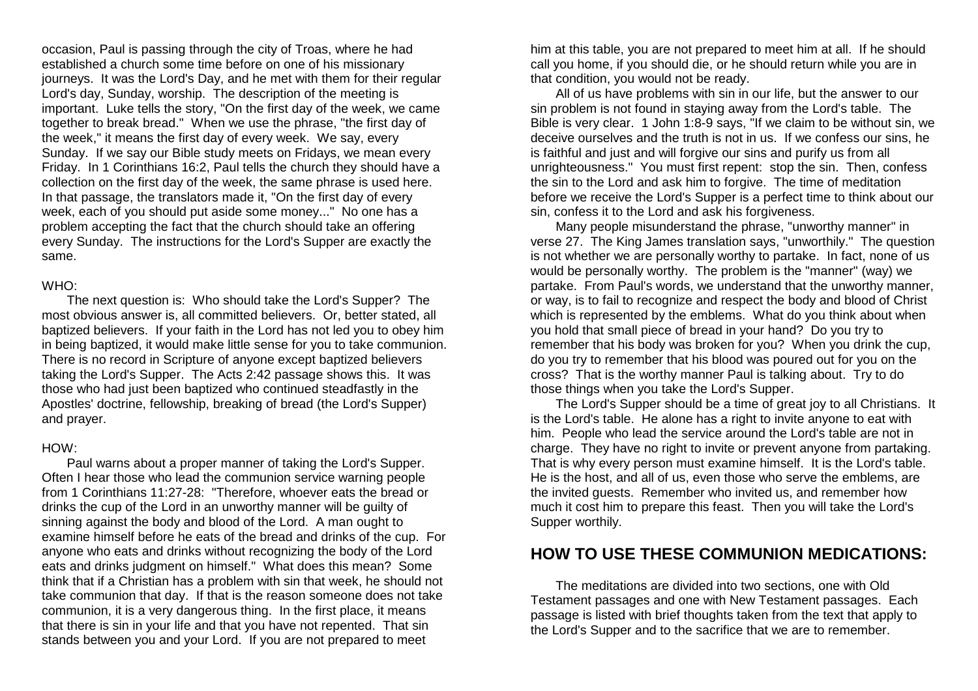occasion, Paul is passing through the city of Troas, where he had established a church some time before on one of his missionary journeys. It was the Lord's Day, and he met with them for their regularLord's day, Sunday, worship. The description of the meeting is important. Luke tells the story, "On the first day of the week, we cametogether to break bread." When we use the phrase, "the first day ofthe week," it means the first day of every week. We say, every Sunday. If we say our Bible study meets on Fridays, we mean every Friday. In 1 Corinthians 16:2, Paul tells the church they should have a collection on the first day of the week, the same phrase is used here.In that passage, the translators made it, "On the first day of every week, each of you should put aside some money..." No one has a problem accepting the fact that the church should take an offering every Sunday. The instructions for the Lord's Supper are exactly thesame.

#### WHO:

 The next question is: Who should take the Lord's Supper? The most obvious answer is, all committed believers. Or, better stated, all baptized believers. If your faith in the Lord has not led you to obey him in being baptized, it would make little sense for you to take communion.There is no record in Scripture of anyone except baptized believers taking the Lord's Supper. The Acts 2:42 passage shows this. It wasthose who had just been baptized who continued steadfastly in the Apostles' doctrine, fellowship, breaking of bread (the Lord's Supper)and prayer.

#### HOW:

 Paul warns about a proper manner of taking the Lord's Supper. Often I hear those who lead the communion service warning people from 1 Corinthians 11:27-28: "Therefore, whoever eats the bread ordrinks the cup of the Lord in an unworthy manner will be guilty of sinning against the body and blood of the Lord. A man ought to examine himself before he eats of the bread and drinks of the cup. Foranyone who eats and drinks without recognizing the body of the Lord eats and drinks judgment on himself." What does this mean? Some think that if a Christian has a problem with sin that week, he should not take communion that day. If that is the reason someone does not takecommunion, it is a very dangerous thing. In the first place, it means that there is sin in your life and that you have not repented. That sinstands between you and your Lord. If you are not prepared to meet

him at this table, you are not prepared to meet him at all. If he should call you home, if you should die, or he should return while you are inthat condition, you would not be ready.

 All of us have problems with sin in our life, but the answer to oursin problem is not found in staying away from the Lord's table. The Bible is very clear. 1 John 1:8-9 says, "If we claim to be without sin, we deceive ourselves and the truth is not in us. If we confess our sins, heis faithful and just and will forgive our sins and purify us from all unrighteousness." You must first repent: stop the sin. Then, confessthe sin to the Lord and ask him to forgive. The time of meditation before we receive the Lord's Supper is a perfect time to think about oursin, confess it to the Lord and ask his forgiveness.

 Many people misunderstand the phrase, "unworthy manner" in verse 27. The King James translation says, "unworthily." The question is not whether we are personally worthy to partake. In fact, none of uswould be personally worthy. The problem is the "manner" (way) we partake. From Paul's words, we understand that the unworthy manner,or way, is to fail to recognize and respect the body and blood of Christ which is represented by the emblems. What do you think about whenyou hold that small piece of bread in your hand? Do you try to remember that his body was broken for you? When you drink the cup,do you try to remember that his blood was poured out for you on thecross? That is the worthy manner Paul is talking about. Try to dothose things when you take the Lord's Supper.

 The Lord's Supper should be a time of great joy to all Christians. Itis the Lord's table. He alone has a right to invite anyone to eat with him. People who lead the service around the Lord's table are not in charge. They have no right to invite or prevent anyone from partaking.That is why every person must examine himself. It is the Lord's table. He is the host, and all of us, even those who serve the emblems, arethe invited guests. Remember who invited us, and remember how much it cost him to prepare this feast. Then you will take the Lord'sSupper worthily.

# **HOW TO USE THESE COMMUNION MEDICATIONS:**

The meditations are divided into two sections, one with Old Testament passages and one with New Testament passages. Each passage is listed with brief thoughts taken from the text that apply tothe Lord's Supper and to the sacrifice that we are to remember.